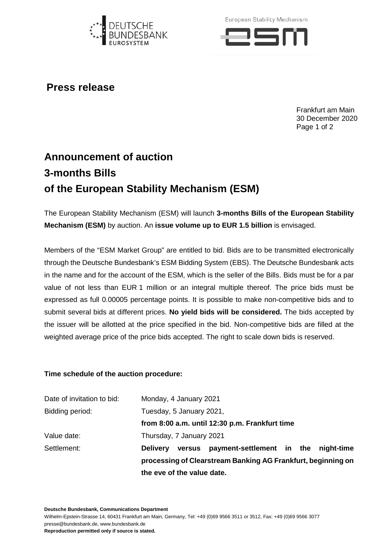

European Stability Mechanism



## **Press release**

Frankfurt am Main 30 December 2020 Page 1 of 2

## **Announcement of auction 3-months Bills of the European Stability Mechanism (ESM)**

The European Stability Mechanism (ESM) will launch **3-months Bills of the European Stability Mechanism (ESM)** by auction. An **issue volume up to EUR 1.5 billion** is envisaged.

Members of the "ESM Market Group" are entitled to bid. Bids are to be transmitted electronically through the Deutsche Bundesbank's ESM Bidding System (EBS). The Deutsche Bundesbank acts in the name and for the account of the ESM, which is the seller of the Bills. Bids must be for a par value of not less than EUR 1 million or an integral multiple thereof. The price bids must be expressed as full 0.00005 percentage points. It is possible to make non-competitive bids and to submit several bids at different prices. **No yield bids will be considered.** The bids accepted by the issuer will be allotted at the price specified in the bid. Non-competitive bids are filled at the weighted average price of the price bids accepted. The right to scale down bids is reserved.

## **Time schedule of the auction procedure:**

| Date of invitation to bid: | Monday, 4 January 2021                                         |  |
|----------------------------|----------------------------------------------------------------|--|
| Bidding period:            | Tuesday, 5 January 2021,                                       |  |
|                            | from 8:00 a.m. until 12:30 p.m. Frankfurt time                 |  |
| Value date:                | Thursday, 7 January 2021                                       |  |
| Settlement:                | versus payment-settlement in the night-time<br><b>Delivery</b> |  |
|                            | processing of Clearstream Banking AG Frankfurt, beginning on   |  |
|                            | the eve of the value date.                                     |  |